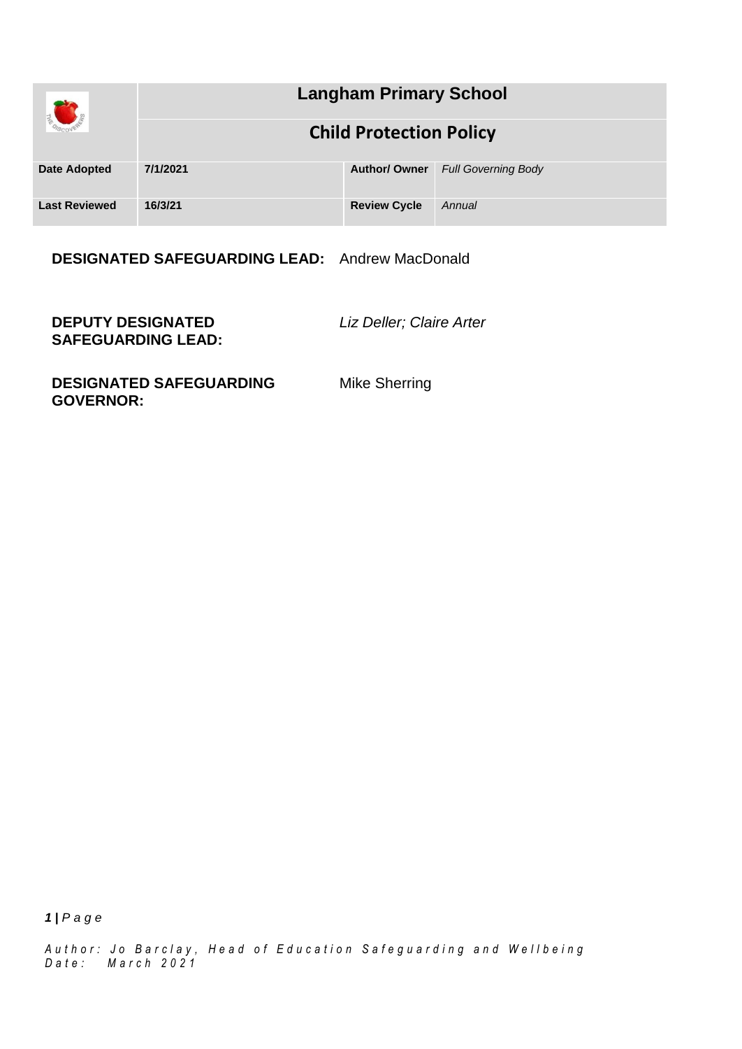|                      | <b>Langham Primary School</b>  |                      |                            |
|----------------------|--------------------------------|----------------------|----------------------------|
|                      | <b>Child Protection Policy</b> |                      |                            |
| <b>Date Adopted</b>  | 7/1/2021                       | <b>Author/ Owner</b> | <b>Full Governing Body</b> |
| <b>Last Reviewed</b> | 16/3/21                        | <b>Review Cycle</b>  | Annual                     |

**DESIGNATED SAFEGUARDING LEAD:** Andrew MacDonald

**DEPUTY DESIGNATED SAFEGUARDING LEAD:** *Liz Deller; Claire Arter*

**DESIGNATED SAFEGUARDING GOVERNOR:**

Mike Sherring

*1 | P a g e*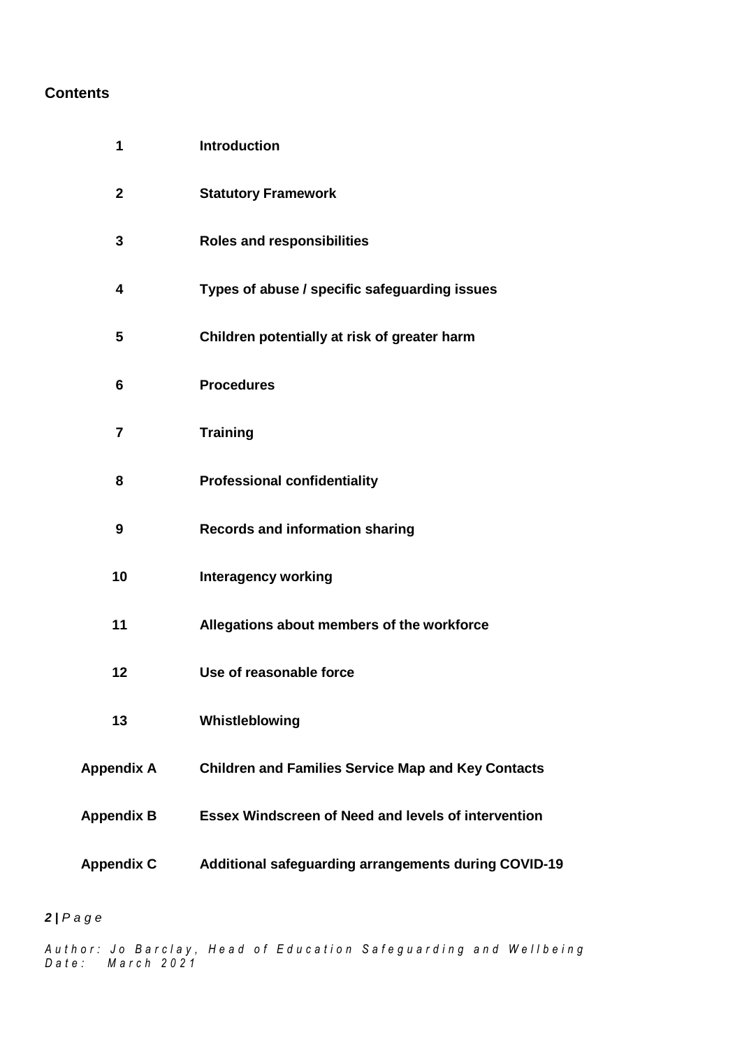## **Contents**

| 1                 | <b>Introduction</b>                                        |  |  |
|-------------------|------------------------------------------------------------|--|--|
| $\mathbf{2}$      | <b>Statutory Framework</b>                                 |  |  |
| 3                 | <b>Roles and responsibilities</b>                          |  |  |
| 4                 | Types of abuse / specific safeguarding issues              |  |  |
| 5                 | Children potentially at risk of greater harm               |  |  |
| 6                 | <b>Procedures</b>                                          |  |  |
| $\overline{7}$    | <b>Training</b>                                            |  |  |
| 8                 | <b>Professional confidentiality</b>                        |  |  |
| 9                 | <b>Records and information sharing</b>                     |  |  |
| 10                | <b>Interagency working</b>                                 |  |  |
| 11                | Allegations about members of the workforce                 |  |  |
| 12                | Use of reasonable force                                    |  |  |
| 13                | Whistleblowing                                             |  |  |
| <b>Appendix A</b> | <b>Children and Families Service Map and Key Contacts</b>  |  |  |
| <b>Appendix B</b> | <b>Essex Windscreen of Need and levels of intervention</b> |  |  |
| <b>Appendix C</b> | Additional safeguarding arrangements during COVID-19       |  |  |

## *| P a g e*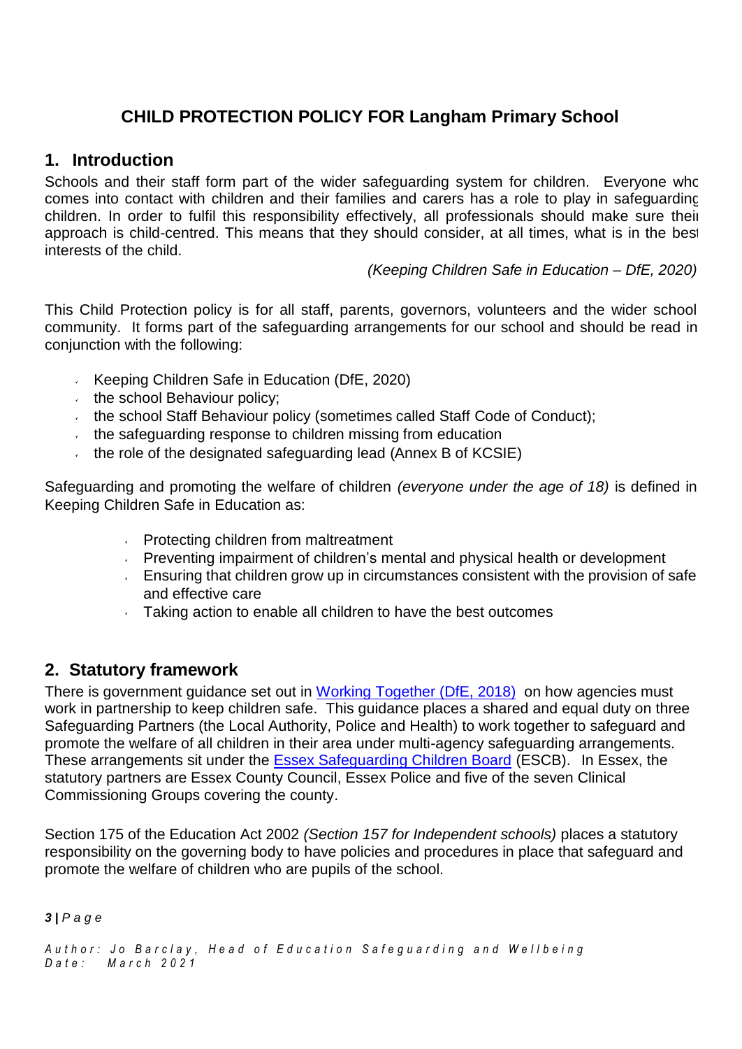# **CHILD PROTECTION POLICY FOR Langham Primary School**

## **1. Introduction**

Schools and their staff form part of the wider safeguarding system for children. Everyone who comes into contact with children and their families and carers has a role to play in safeguarding children. In order to fulfil this responsibility effectively, all professionals should make sure their approach is child-centred. This means that they should consider, at all times, what is in the best interests of the child.

*(Keeping Children Safe in Education – DfE, 2020)*

This Child Protection policy is for all staff, parents, governors, volunteers and the wider school community. It forms part of the safeguarding arrangements for our school and should be read in conjunction with the following:

- Keeping Children Safe in Education ( $DFE$ , 2020)
- $\cdot$  the school Behaviour policy;
- $\cdot$  the school Staff Behaviour policy (sometimes called Staff Code of Conduct);
- $\cdot$  the safeguarding response to children missing from education
- the role of the designated safeguarding lead (Annex B of  $KCS$ IE)

Safeguarding and promoting the welfare of children *(everyone under the age of 18)* is defined in Keeping Children Safe in Education as:

- **Protecting children from maltreatment**
- $\sim$  Preventing impairment of children's mental and physical health or development
- $\sim$  Ensuring that children grow up in circumstances consistent with the provision of safe and effective care
- **Taking action to enable all children to have the best outcomes**

## **2. Statutory framework**

There is government guidance set out in Working [Together \(DfE,](https://assets.publishing.service.gov.uk/government/uploads/system/uploads/attachment_data/file/942454/Working_together_to_safeguard_children_inter_agency_guidance.pdf) 2018) on how agencies must work in partnership to keep children safe. This guidance places a shared and equal duty on three Safeguarding Partners (the Local Authority, Police and Health) to work together to safeguard and promote the welfare of all children in their area under multi-agency safeguarding arrangements. These arrangements sit under the Essex [Safeguarding](http://www.escb.co.uk/Home.aspx) Children Board (ESCB). In Essex, the statutory partners are Essex County Council, Essex Police and five of the seven Clinical Commissioning Groups covering the county.

Section 175 of the Education Act 2002 *(Section 157 for Independent schools)* places a statutory responsibility on the governing body to have policies and procedures in place that safeguard and promote the welfare of children who are pupils of the school.

*3 | P a g e*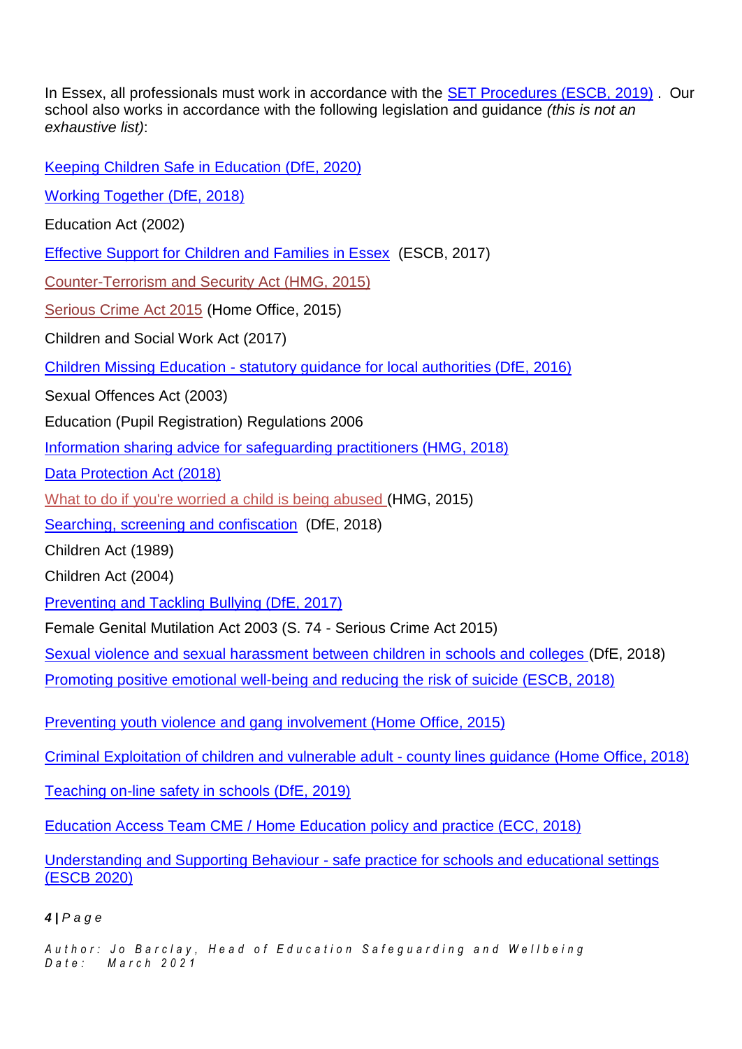In Essex, all professionals must work in accordance with the **SET Procedures (ESCB, 2019)**. Our school also works in accordance with the following legislation and guidance *(this is not an exhaustive list)*:

Keeping Children Safe in [Education](https://assets.publishing.service.gov.uk/government/uploads/system/uploads/attachment_data/file/892394/Keeping_children_safe_in_education_2020.pdf) (DfE, 2020)

Working [Together \(DfE,](https://assets.publishing.service.gov.uk/government/uploads/system/uploads/attachment_data/file/942454/Working_together_to_safeguard_children_inter_agency_guidance.pdf) 2018)

Education Act (2002)

Effective Support [for Children](http://www.escb.co.uk/Portals/67/Documents/professionals/EffectiveSupportBooklet2017v5-FINAL.pdf) and Families in Essex (ESCB, 2017)

[Counter-Terrorism and](http://www.legislation.gov.uk/ukpga/2015/6/contents) Security Act (HMG, 2015)

[Serious Crime](https://www.gov.uk/government/collections/serious-crime-bill) Act 2015 (Home Office, 2015)

Children and Social Work Act (2017)

Children Missing Education - statutory guidance [for local authorities](https://assets.publishing.service.gov.uk/government/uploads/system/uploads/attachment_data/file/550416/Children_Missing_Education_-_statutory_guidance.pdf) (DfE, 2016)

Sexual Offences Act (2003)

Education (Pupil Registration) Regulations 2006

Information sharing advice for safeguarding [practitioners \(HMG,](https://assets.publishing.service.gov.uk/government/uploads/system/uploads/attachment_data/file/721581/Information_sharing_advice_practitioners_safeguarding_services.pdf) 2018)

Data [Protection](http://www.legislation.gov.uk/ukpga/2018/12/pdfs/ukpga_20180012_en.pdf) Act (2018)

What to do if you're worried a child is being [abused \(](https://www.gov.uk/government/uploads/system/uploads/attachment_data/file/419604/What_to_do_if_you_re_worried_a_child_is_being_abused.pdf)HMG, 2015)

Searching, screening and [confiscation](https://assets.publishing.service.gov.uk/government/uploads/system/uploads/attachment_data/file/674416/Searching_screening_and_confiscation.pdf) (DfE, 2018)

Children Act (1989)

Children Act (2004)

[Preventing](https://www.gov.uk/government/uploads/system/uploads/attachment_data/file/623895/Preventing_and_tackling_bullying_advice.pdf) and Tackling Bullying (DfE, 2017)

Female Genital Mutilation Act 2003 (S. 74 - Serious Crime Act 2015)

Sexual violence and [sexual harassment](https://www.gov.uk/government/uploads/system/uploads/attachment_data/file/667862/Sexual_Harassment_and_Sexual_Violence_-_Advice.pdf) between children in schools and colleges (DfE, 2018)

Promoting positive [emotional well-being](https://schools.essex.gov.uk/pupils/Safeguarding/Emotional_Wellbeing_and_Mental_Health/Documents/Promoting%20Positive%20Emotional%20Well-being%20and%20Reducing%20the%20Risk%20of%20Suicide%20-%20Autumn%202018.pdf) and reducing the risk of suicide (ESCB, 2018)

Preventing youth violence and gang [involvement](https://assets.publishing.service.gov.uk/government/uploads/system/uploads/attachment_data/file/418131/Preventing_youth_violence_and_gang_involvement_v3_March2015.pdf) (Home Office, 2015)

[Criminal Exploitation](https://assets.publishing.service.gov.uk/government/uploads/system/uploads/attachment_data/file/741194/HOCountyLinesGuidanceSept2018.pdf) of children and vulnerable adult - county lines guidance (Home Office, 2018)

Teaching on-line safety in [schools \(DfE,](https://assets.publishing.service.gov.uk/government/uploads/system/uploads/attachment_data/file/811796/Teaching_online_safety_in_school.pdf) 2019)

[Education](https://schools.essex.gov.uk/pupils/Education_Access/Documents/Education%20Access%20-%20CME%20and%20EHE%20Team%20-%20Policy%20and%20Practice%20Guidance%20document.pdf) Access Team CME / Home Education policy and practice (ECC, 2018)

Understanding and Supporting Behaviour - safe practice for schools and [educational settings](https://schools.essex.gov.uk/pupils/Safeguarding/Documents/Understanding%20and%20Supporting%20Behaviour%20-%20Safe%20Practice%20for%20Schools%20-%20Summer%202020.pdf) [\(ESCB](https://schools.essex.gov.uk/pupils/Safeguarding/Documents/Understanding%20and%20Supporting%20Behaviour%20-%20Safe%20Practice%20for%20Schools%20-%20Summer%202020.pdf) 2020)

#### *4 | P a g e*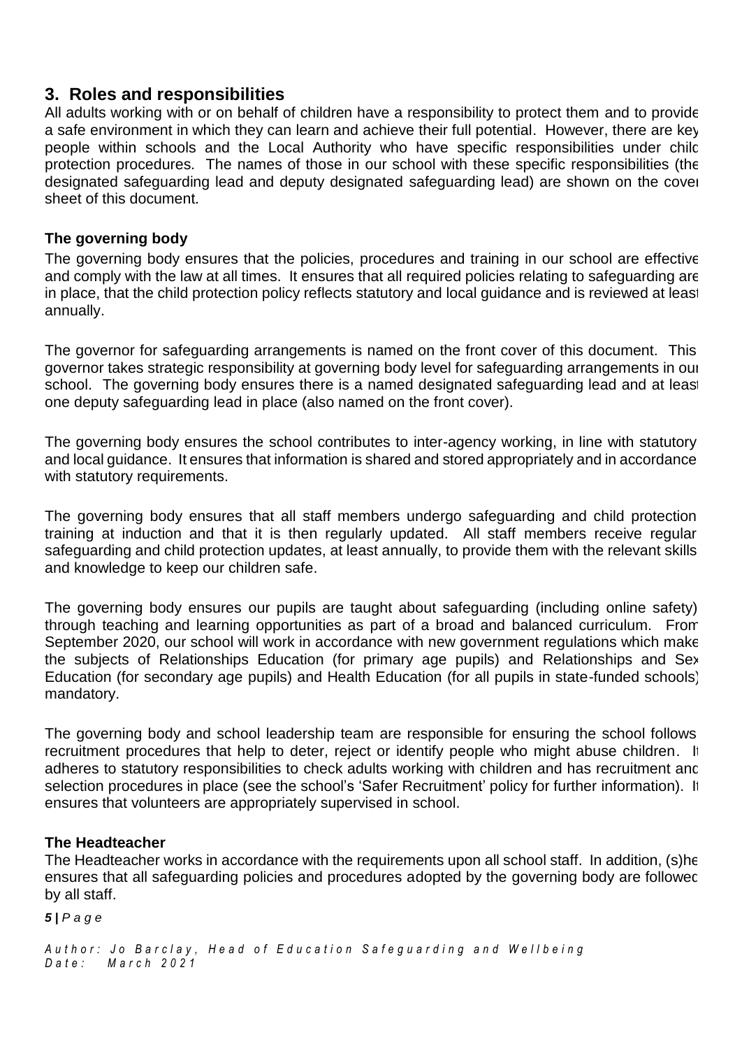## **3. Roles and responsibilities**

All adults working with or on behalf of children have a responsibility to protect them and to provide a safe environment in which they can learn and achieve their full potential. However, there are key people within schools and the Local Authority who have specific responsibilities under chilc protection procedures. The names of those in our school with these specific responsibilities (the designated safeguarding lead and deputy designated safeguarding lead) are shown on the cover sheet of this document.

## **The governing body**

The governing body ensures that the policies, procedures and training in our school are effective and comply with the law at all times. It ensures that all required policies relating to safeguarding are in place, that the child protection policy reflects statutory and local guidance and is reviewed at least annually.

The governor for safeguarding arrangements is named on the front cover of this document. This governor takes strategic responsibility at governing body level for safeguarding arrangements in our school. The governing body ensures there is a named designated safeguarding lead and at least one deputy safeguarding lead in place (also named on the front cover).

The governing body ensures the school contributes to inter-agency working, in line with statutory and local guidance. It ensures that information is shared and stored appropriately and in accordance with statutory requirements.

The governing body ensures that all staff members undergo safeguarding and child protection training at induction and that it is then regularly updated. All staff members receive regular safeguarding and child protection updates, at least annually, to provide them with the relevant skills and knowledge to keep our children safe.

The governing body ensures our pupils are taught about safeguarding (including online safety) through teaching and learning opportunities as part of a broad and balanced curriculum. From September 2020, our school will work in accordance with new government regulations which make the subjects of Relationships Education (for primary age pupils) and Relationships and Sex Education (for secondary age pupils) and Health Education (for all pupils in state-funded schools) mandatory.

The governing body and school leadership team are responsible for ensuring the school follows recruitment procedures that help to deter, reject or identify people who might abuse children. It adheres to statutory responsibilities to check adults working with children and has recruitment and selection procedures in place (see the school's 'Safer Recruitment' policy for further information). It ensures that volunteers are appropriately supervised in school.

## **The Headteacher**

The Headteacher works in accordance with the requirements upon all school staff. In addition, (s)he ensures that all safeguarding policies and procedures adopted by the governing body are followec by all staff.

*5 | P a g e*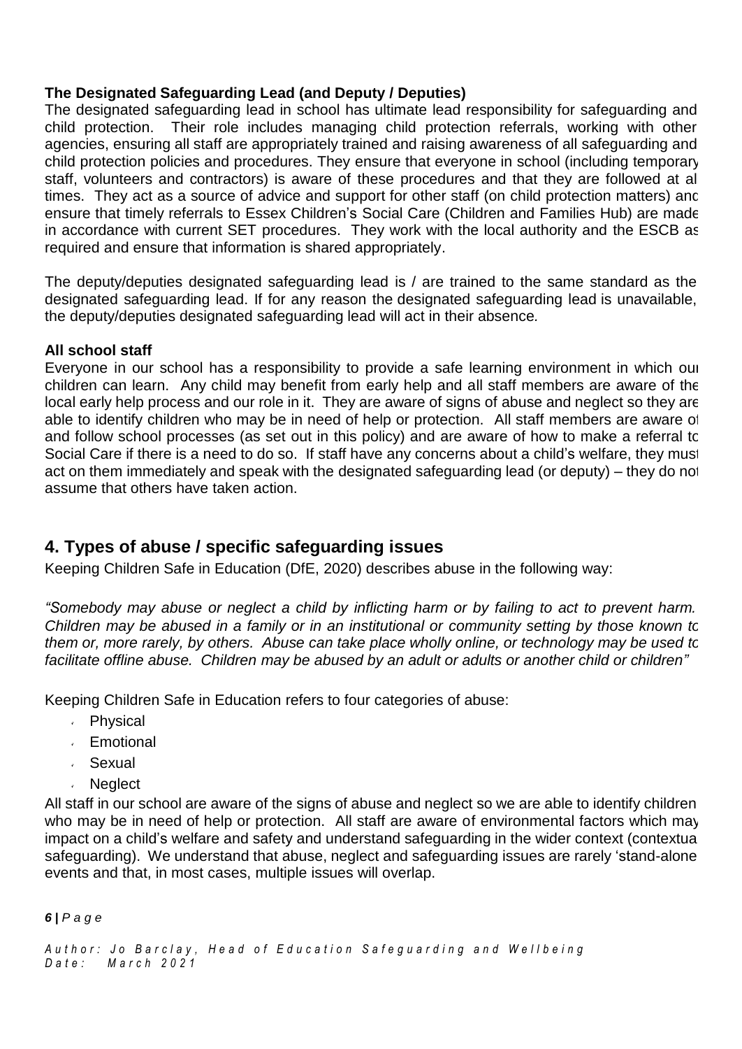## **The Designated Safeguarding Lead (and Deputy / Deputies)**

The designated safeguarding lead in school has ultimate lead responsibility for safeguarding and child protection. Their role includes managing child protection referrals, working with other agencies, ensuring all staff are appropriately trained and raising awareness of all safeguarding and child protection policies and procedures. They ensure that everyone in school (including temporary staff, volunteers and contractors) is aware of these procedures and that they are followed at all times. They act as a source of advice and support for other staff (on child protection matters) and ensure that timely referrals to Essex Children's Social Care (Children and Families Hub) are made in accordance with current SET procedures. They work with the local authority and the ESCB as required and ensure that information is shared appropriately.

The deputy/deputies designated safeguarding lead is / are trained to the same standard as the designated safeguarding lead. If for any reason the designated safeguarding lead is unavailable, the deputy/deputies designated safeguarding lead will act in their absence*.*

### **All school staff**

Everyone in our school has a responsibility to provide a safe learning environment in which our children can learn. Any child may benefit from early help and all staff members are aware of the local early help process and our role in it. They are aware of signs of abuse and neglect so they are able to identify children who may be in need of help or protection. All staff members are aware of and follow school processes (as set out in this policy) and are aware of how to make a referral to Social Care if there is a need to do so. If staff have any concerns about a child's welfare, they must act on them immediately and speak with the designated safeguarding lead (or deputy) – they do not assume that others have taken action.

# **4. Types of abuse / specific safeguarding issues**

Keeping Children Safe in Education (DfE, 2020) describes abuse in the following way:

*"Somebody may abuse or neglect a child by inflicting harm or by failing to act to prevent harm. Children may be abused in a family or in an institutional or community setting by those known to them or, more rarely, by others. Abuse can take place wholly online, or technology may be used to facilitate offline abuse. Children may be abused by an adult or adults or another child or children"*

Keeping Children Safe in Education refers to four categories of abuse:

- Physical
- Emotional
- Sexual
- **Neglect**

All staff in our school are aware of the signs of abuse and neglect so we are able to identify children who may be in need of help or protection. All staff are aware of environmental factors which may impact on a child's welfare and safety and understand safeguarding in the wider context (contextual safeguarding). We understand that abuse, neglect and safeguarding issues are rarely 'stand-alone' events and that, in most cases, multiple issues will overlap.

*6 | P a g e*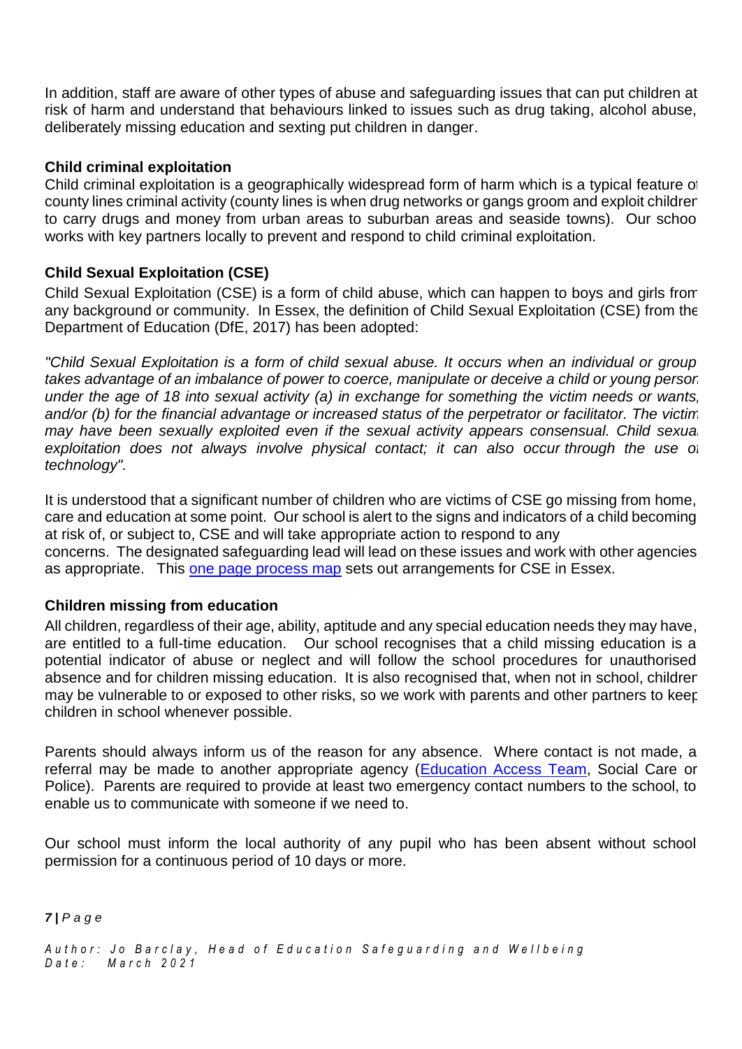In addition, staff are aware of other types of abuse and safeguarding issues that can put children at risk of harm and understand that behaviours linked to issues such as drug taking, alcohol abuse, deliberately missing education and sexting put children in danger.

### **Child criminal exploitation**

Child criminal exploitation is a geographically widespread form of harm which is a typical feature of county lines criminal activity (county lines is when drug networks or gangs groom and exploit children to carry drugs and money from urban areas to suburban areas and seaside towns). Our school works with key partners locally to prevent and respond to child criminal exploitation.

### **Child Sexual Exploitation (CSE)**

Child Sexual Exploitation (CSE) is a form of child abuse, which can happen to boys and girls from any background or community. In Essex, the definition of Child Sexual Exploitation (CSE) from the Department of Education (DfE, 2017) has been adopted:

*"Child Sexual Exploitation is a form of child sexual abuse. It occurs when an individual or group takes advantage of an imbalance of power to coerce, manipulate or deceive a child or young person under the age of 18 into sexual activity (a) in exchange for something the victim needs or wants, and/or (b) for the financial advantage or increased status of the perpetrator or facilitator. The victim may have been sexually exploited even if the sexual activity appears consensual. Child sexual exploitation does not always involve physical contact; it can also occur through the use of technology".*

It is understood that a significant number of children who are victims of CSE go missing from home, care and education at some point. Our school is alert to the signs and indicators of a child becoming at risk of, or subject to, CSE and will take appropriate action to respond to any concerns. The designated safeguarding lead will lead on these issues and work with other agencies as appropriate. This one page [process map](https://www.escb.co.uk/media/2075/cse-1-pager-sept-2019.pdf) sets out arrangements for CSE in Essex.

### **Children missing from education**

All children, regardless of their age, ability, aptitude and any special education needs they may have, are entitled to a full-time education. Our school recognises that a child missing education is a potential indicator of abuse or neglect and will follow the school procedures for unauthorised absence and for children missing education. It is also recognised that, when not in school, children may be vulnerable to or exposed to other risks, so we work with parents and other partners to keep children in school whenever possible.

Parents should always inform us of the reason for any absence. Where contact is not made, a referral may be made to another appropriate agency [\(Education](https://schools.essex.gov.uk/pupils/Education_Access/Pages/default.aspx) Access Team, Social Care or Police). Parents are required to provide at least two emergency contact numbers to the school, to enable us to communicate with someone if we need to.

Our school must inform the local authority of any pupil who has been absent without school permission for a continuous period of 10 days or more.

*7 | P a g e*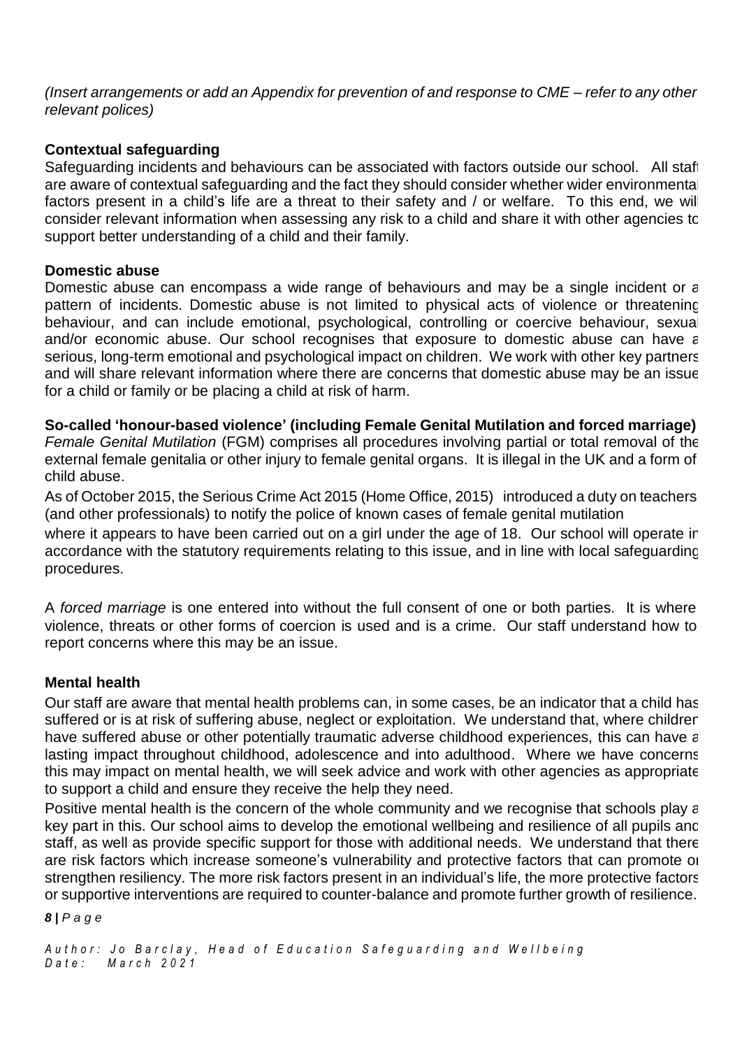*(Insert arrangements or add an Appendix for prevention of and response to CME – refer to any other relevant polices)*

## **Contextual safeguarding**

Safeguarding incidents and behaviours can be associated with factors outside our school. All staff are aware of contextual safeguarding and the fact they should consider whether wider environmenta factors present in a child's life are a threat to their safety and / or welfare. To this end, we wil consider relevant information when assessing any risk to a child and share it with other agencies to support better understanding of a child and their family.

### **Domestic abuse**

Domestic abuse can encompass a wide range of behaviours and may be a single incident or a pattern of incidents. Domestic abuse is not limited to physical acts of violence or threatening behaviour, and can include emotional, psychological, controlling or coercive behaviour, sexual and/or economic abuse. Our school recognises that exposure to domestic abuse can have a serious, long-term emotional and psychological impact on children. We work with other key partners and will share relevant information where there are concerns that domestic abuse may be an issue for a child or family or be placing a child at risk of harm.

### **So-called 'honour-based violence' (including Female Genital Mutilation and forced marriage)**

*Female Genital Mutilation* (FGM) comprises all procedures involving partial or total removal of the external female genitalia or other injury to female genital organs. It is illegal in the UK and a form of child abuse.

As of October 2015, the Serious Crime Act 2015 (Home Office, 2015) introduced a duty on teachers (and other professionals) to notify the police of known cases of female genital mutilation

where it appears to have been carried out on a girl under the age of 18. Our school will operate in accordance with the statutory requirements relating to this issue, and in line with local safeguarding procedures.

A *forced marriage* is one entered into without the full consent of one or both parties. It is where violence, threats or other forms of coercion is used and is a crime. Our staff understand how to report concerns where this may be an issue.

## **Mental health**

Our staff are aware that mental health problems can, in some cases, be an indicator that a child has suffered or is at risk of suffering abuse, neglect or exploitation. We understand that, where children have suffered abuse or other potentially traumatic adverse childhood experiences, this can have a lasting impact throughout childhood, adolescence and into adulthood. Where we have concerns this may impact on mental health, we will seek advice and work with other agencies as appropriate to support a child and ensure they receive the help they need.

Positive mental health is the concern of the whole community and we recognise that schools play a key part in this. Our school aims to develop the emotional wellbeing and resilience of all pupils and staff, as well as provide specific support for those with additional needs. We understand that there are risk factors which increase someone's vulnerability and protective factors that can promote or strengthen resiliency. The more risk factors present in an individual's life, the more protective factors or supportive interventions are required to counter-balance and promote further growth of resilience.

#### *8 | P a g e*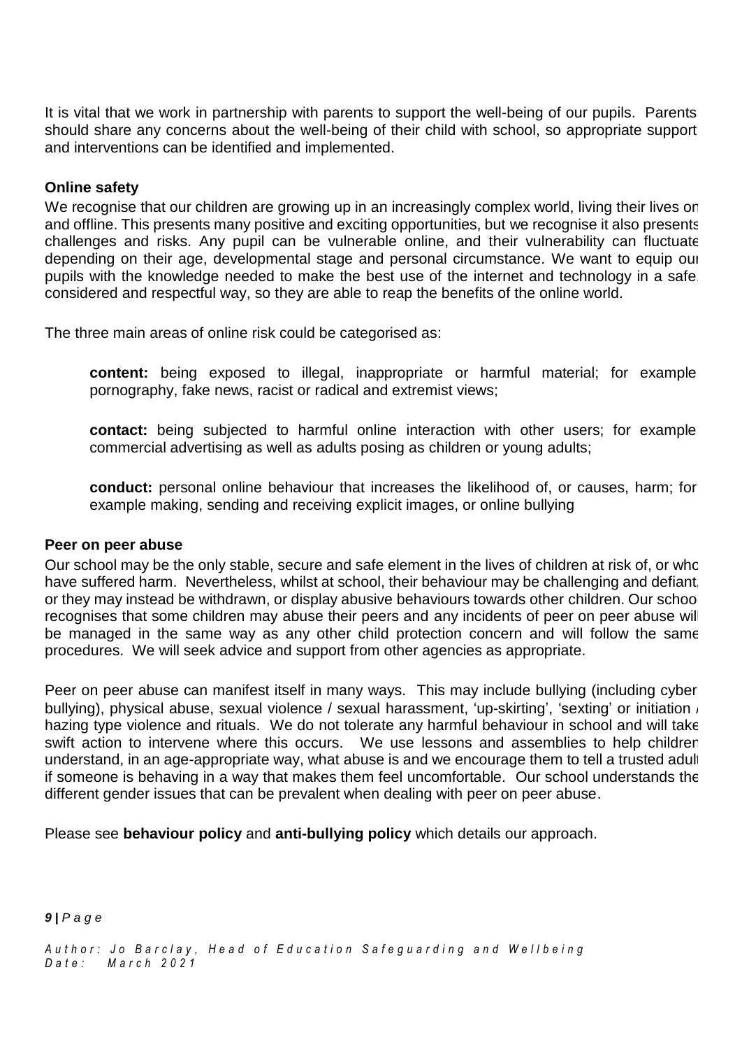It is vital that we work in partnership with parents to support the well-being of our pupils. Parents should share any concerns about the well-being of their child with school, so appropriate support and interventions can be identified and implemented.

#### **Online safety**

We recognise that our children are growing up in an increasingly complex world, living their lives on and offline. This presents many positive and exciting opportunities, but we recognise it also presents challenges and risks. Any pupil can be vulnerable online, and their vulnerability can fluctuate depending on their age, developmental stage and personal circumstance. We want to equip our pupils with the knowledge needed to make the best use of the internet and technology in a safe, considered and respectful way, so they are able to reap the benefits of the online world.

The three main areas of online risk could be categorised as:

**content:** being exposed to illegal, inappropriate or harmful material; for example pornography, fake news, racist or radical and extremist views;

**contact:** being subjected to harmful online interaction with other users; for example commercial advertising as well as adults posing as children or young adults;

**conduct:** personal online behaviour that increases the likelihood of, or causes, harm; for example making, sending and receiving explicit images, or online bullying

#### **Peer on peer abuse**

Our school may be the only stable, secure and safe element in the lives of children at risk of, or who have suffered harm. Nevertheless, whilst at school, their behaviour may be challenging and defiant. or they may instead be withdrawn, or display abusive behaviours towards other children. Our school recognises that some children may abuse their peers and any incidents of peer on peer abuse will be managed in the same way as any other child protection concern and will follow the same procedures. We will seek advice and support from other agencies as appropriate.

Peer on peer abuse can manifest itself in many ways. This may include bullying (including cyber bullying), physical abuse, sexual violence / sexual harassment, 'up-skirting', 'sexting' or initiation / hazing type violence and rituals. We do not tolerate any harmful behaviour in school and will take swift action to intervene where this occurs. We use lessons and assemblies to help children understand, in an age-appropriate way, what abuse is and we encourage them to tell a trusted adult if someone is behaving in a way that makes them feel uncomfortable. Our school understands the different gender issues that can be prevalent when dealing with peer on peer abuse.

Please see **behaviour policy** and **anti-bullying policy** which details our approach.

*9 | P a g e*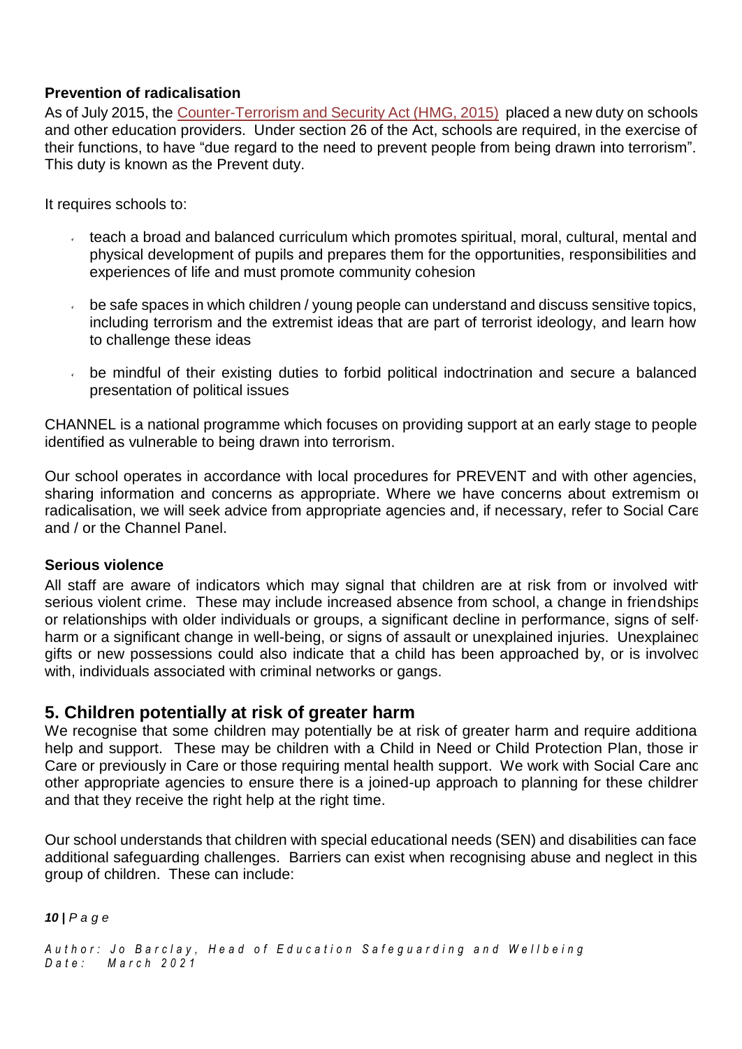## **Prevention of radicalisation**

As of July 2015, the [Counter-Terrorism](http://www.legislation.gov.uk/ukpga/2015/6/contents) and Security Act (HMG, 2015) placed a new duty on schools and other education providers. Under section 26 of the Act, schools are required, in the exercise of their functions, to have "due regard to the need to prevent people from being drawn into terrorism". This duty is known as the Prevent duty.

It requires schools to:

- teach a broad and balanced curriculum which promotes spiritual, moral, cultural, mental and  $\mathcal{L}$ physical development of pupils and prepares them for the opportunities, responsibilities and experiences of life and must promote community cohesion
- $\mathbf{v}^{\pm}$ be safe spaces in which children / young people can understand and discuss sensitive topics, including terrorism and the extremist ideas that are part of terrorist ideology, and learn how to challenge these ideas
- be mindful of their existing duties to forbid political indoctrination and secure a balanced presentation of political issues

CHANNEL is a national programme which focuses on providing support at an early stage to people identified as vulnerable to being drawn into terrorism.

Our school operates in accordance with local procedures for PREVENT and with other agencies, sharing information and concerns as appropriate. Where we have concerns about extremism or radicalisation, we will seek advice from appropriate agencies and, if necessary, refer to Social Care and / or the Channel Panel.

### **Serious violence**

All staff are aware of indicators which may signal that children are at risk from or involved with serious violent crime. These may include increased absence from school, a change in friendships or relationships with older individuals or groups, a significant decline in performance, signs of selfharm or a significant change in well-being, or signs of assault or unexplained injuries. Unexplained gifts or new possessions could also indicate that a child has been approached by, or is involved with, individuals associated with criminal networks or gangs.

## **5. Children potentially at risk of greater harm**

We recognise that some children may potentially be at risk of greater harm and require additional help and support. These may be children with a Child in Need or Child Protection Plan, those in Care or previously in Care or those requiring mental health support. We work with Social Care and other appropriate agencies to ensure there is a joined-up approach to planning for these children and that they receive the right help at the right time.

Our school understands that children with special educational needs (SEN) and disabilities can face additional safeguarding challenges. Barriers can exist when recognising abuse and neglect in this group of children. These can include:

*10 | P a g e*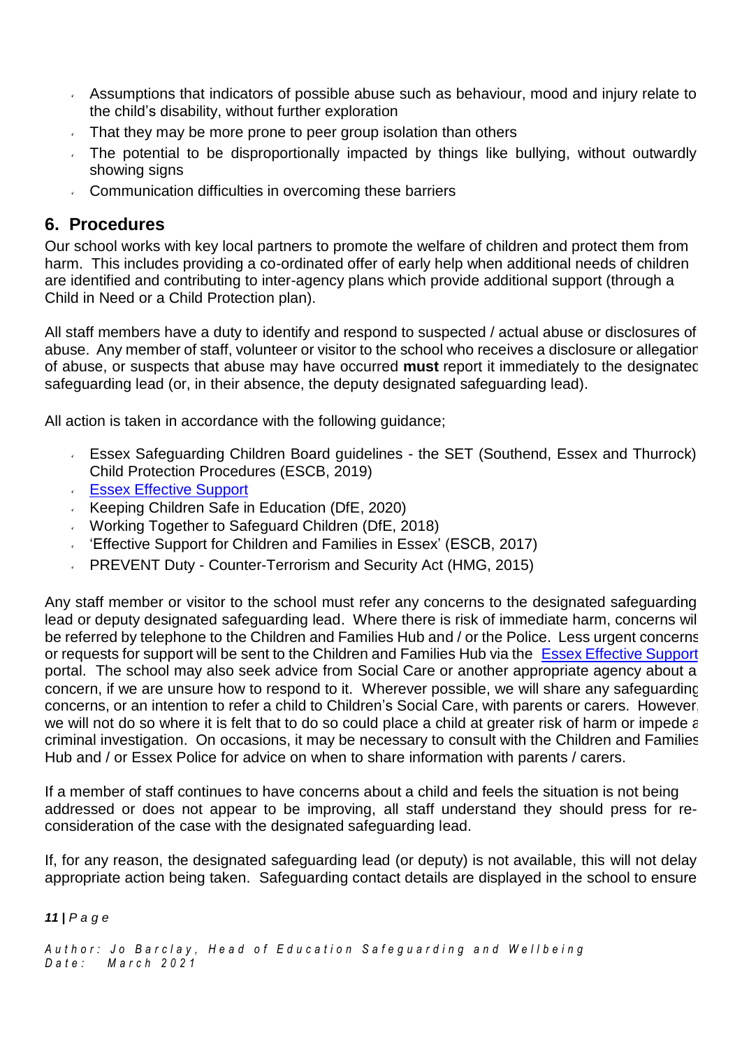- Assumptions that indicators of possible abuse such as behaviour, mood and injury relate to the child's disability, without further exploration
- That they may be more prone to peer group isolation than others
- The potential to be disproportionally impacted by things like bullying, without outwardly showing signs
- Communication difficulties in overcoming these barriers

## **6. Procedures**

Our school works with key local partners to promote the welfare of children and protect them from harm. This includes providing a co-ordinated offer of early help when additional needs of children are identified and contributing to inter-agency plans which provide additional support (through a Child in Need or a Child Protection plan).

All staff members have a duty to identify and respond to suspected / actual abuse or disclosures of abuse. Any member of staff, volunteer or visitor to the school who receives a disclosure or allegation of abuse, or suspects that abuse may have occurred **must** report it immediately to the designated safeguarding lead (or, in their absence, the deputy designated safeguarding lead).

All action is taken in accordance with the following guidance;

- Essex Safeguarding Children Board guidelines the SET (Southend, Essex and Thurrock) Child Protection Procedures (ESCB, 2019)
- **Essex [Effective](https://www.essex.gov.uk/report-a-concern-about-a-child) Support**
- Keeping Children Safe in Education (DfE, 2020)
- Working Together to Safeguard Children (DfE, 2018)
- 'Effective Support for Children and Families in Essex' (ESCB, 2017)
- $\mathbf{v}^{\pm}$ PREVENT Duty - Counter-Terrorism and Security Act (HMG, 2015)

Any staff member or visitor to the school must refer any concerns to the designated safeguarding lead or deputy designated safeguarding lead. Where there is risk of immediate harm, concerns will be referred by telephone to the Children and Families Hub and / or the Police. Less urgent concerns or requests for support will be sent to the Children and Families Hub via the Essex [Effective](https://www.essex.gov.uk/report-a-concern-about-a-child) Support portal. The school may also seek advice from Social Care or another appropriate agency about a concern, if we are unsure how to respond to it. Wherever possible, we will share any safeguarding concerns, or an intention to refer a child to Children's Social Care, with parents or carers. However, we will not do so where it is felt that to do so could place a child at greater risk of harm or impede a criminal investigation. On occasions, it may be necessary to consult with the Children and Families Hub and / or Essex Police for advice on when to share information with parents / carers.

If a member of staff continues to have concerns about a child and feels the situation is not being addressed or does not appear to be improving, all staff understand they should press for reconsideration of the case with the designated safeguarding lead.

If, for any reason, the designated safeguarding lead (or deputy) is not available, this will not delay appropriate action being taken. Safeguarding contact details are displayed in the school to ensure

#### *11 | P a g e*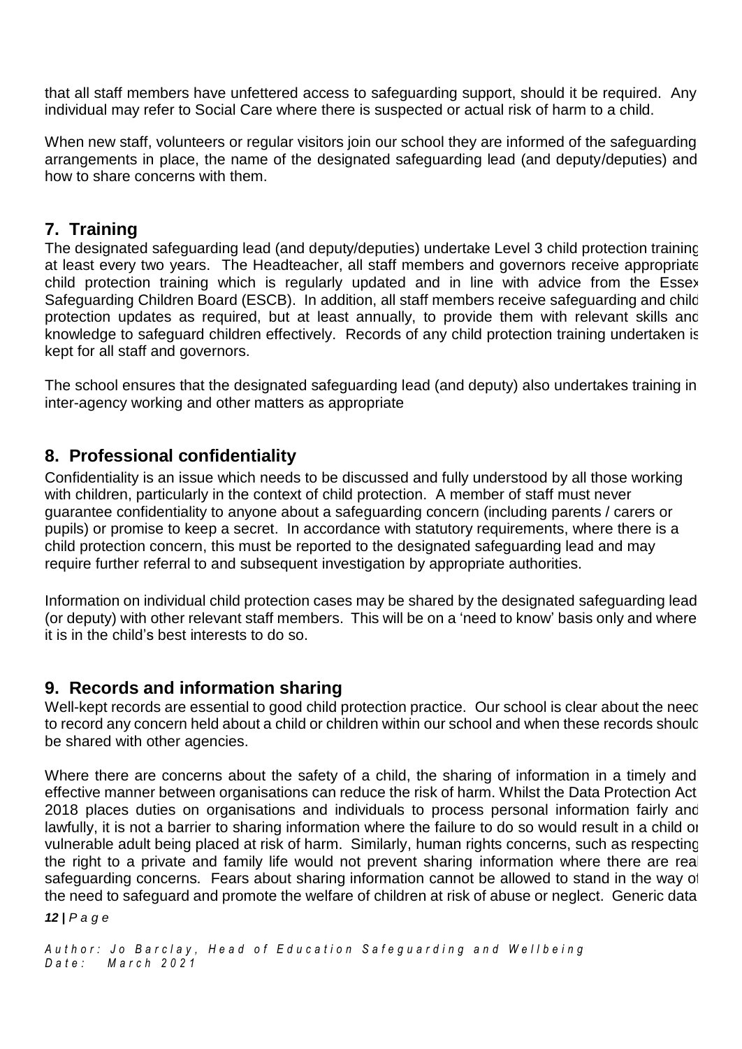that all staff members have unfettered access to safeguarding support, should it be required. Any individual may refer to Social Care where there is suspected or actual risk of harm to a child.

When new staff, volunteers or regular visitors join our school they are informed of the safeguarding arrangements in place, the name of the designated safeguarding lead (and deputy/deputies) and how to share concerns with them.

## **7. Training**

The designated safeguarding lead (and deputy/deputies) undertake Level 3 child protection training at least every two years. The Headteacher, all staff members and governors receive appropriate child protection training which is regularly updated and in line with advice from the Essex Safeguarding Children Board (ESCB). In addition, all staff members receive safeguarding and child protection updates as required, but at least annually, to provide them with relevant skills and knowledge to safeguard children effectively. Records of any child protection training undertaken is kept for all staff and governors.

The school ensures that the designated safeguarding lead (and deputy) also undertakes training in inter-agency working and other matters as appropriate

# **8. Professional confidentiality**

Confidentiality is an issue which needs to be discussed and fully understood by all those working with children, particularly in the context of child protection. A member of staff must never guarantee confidentiality to anyone about a safeguarding concern (including parents / carers or pupils) or promise to keep a secret. In accordance with statutory requirements, where there is a child protection concern, this must be reported to the designated safeguarding lead and may require further referral to and subsequent investigation by appropriate authorities.

Information on individual child protection cases may be shared by the designated safeguarding lead (or deputy) with other relevant staff members. This will be on a 'need to know' basis only and where it is in the child's best interests to do so.

## **9. Records and information sharing**

Well-kept records are essential to good child protection practice. Our school is clear about the neec to record any concern held about a child or children within our school and when these records shoulc be shared with other agencies.

Where there are concerns about the safety of a child, the sharing of information in a timely and effective manner between organisations can reduce the risk of harm. Whilst the Data Protection Act 2018 places duties on organisations and individuals to process personal information fairly and lawfully, it is not a barrier to sharing information where the failure to do so would result in a child or vulnerable adult being placed at risk of harm. Similarly, human rights concerns, such as respecting the right to a private and family life would not prevent sharing information where there are real safeguarding concerns. Fears about sharing information cannot be allowed to stand in the way of the need to safeguard and promote the welfare of children at risk of abuse or neglect. Generic data *12 | P a g e*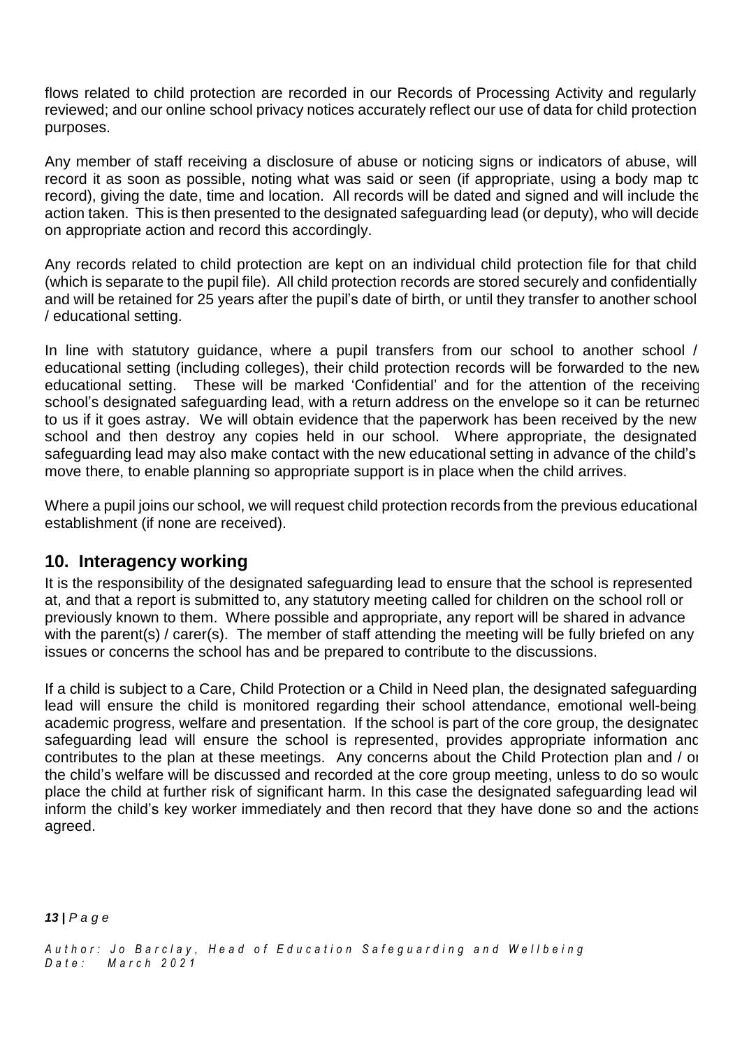flows related to child protection are recorded in our Records of Processing Activity and regularly reviewed; and our online school privacy notices accurately reflect our use of data for child protection purposes.

Any member of staff receiving a disclosure of abuse or noticing signs or indicators of abuse, will record it as soon as possible, noting what was said or seen (if appropriate, using a body map to record), giving the date, time and location. All records will be dated and signed and will include the action taken. This is then presented to the designated safeguarding lead (or deputy), who will decide on appropriate action and record this accordingly.

Any records related to child protection are kept on an individual child protection file for that child (which is separate to the pupil file). All child protection records are stored securely and confidentially and will be retained for 25 years after the pupil's date of birth, or until they transfer to another school / educational setting.

In line with statutory guidance, where a pupil transfers from our school to another school / educational setting (including colleges), their child protection records will be forwarded to the new educational setting. These will be marked 'Confidential' and for the attention of the receiving school's designated safeguarding lead, with a return address on the envelope so it can be returned to us if it goes astray. We will obtain evidence that the paperwork has been received by the new school and then destroy any copies held in our school. Where appropriate, the designated safeguarding lead may also make contact with the new educational setting in advance of the child's move there, to enable planning so appropriate support is in place when the child arrives.

Where a pupil joins our school, we will request child protection records from the previous educational establishment (if none are received).

## **10. Interagency working**

It is the responsibility of the designated safeguarding lead to ensure that the school is represented at, and that a report is submitted to, any statutory meeting called for children on the school roll or previously known to them. Where possible and appropriate, any report will be shared in advance with the parent(s) / carer(s). The member of staff attending the meeting will be fully briefed on any issues or concerns the school has and be prepared to contribute to the discussions.

If a child is subject to a Care, Child Protection or a Child in Need plan, the designated safeguarding lead will ensure the child is monitored regarding their school attendance, emotional well-being, academic progress, welfare and presentation. If the school is part of the core group, the designatec safeguarding lead will ensure the school is represented, provides appropriate information and contributes to the plan at these meetings. Any concerns about the Child Protection plan and / or the child's welfare will be discussed and recorded at the core group meeting, unless to do so would place the child at further risk of significant harm. In this case the designated safeguarding lead will inform the child's key worker immediately and then record that they have done so and the actions agreed.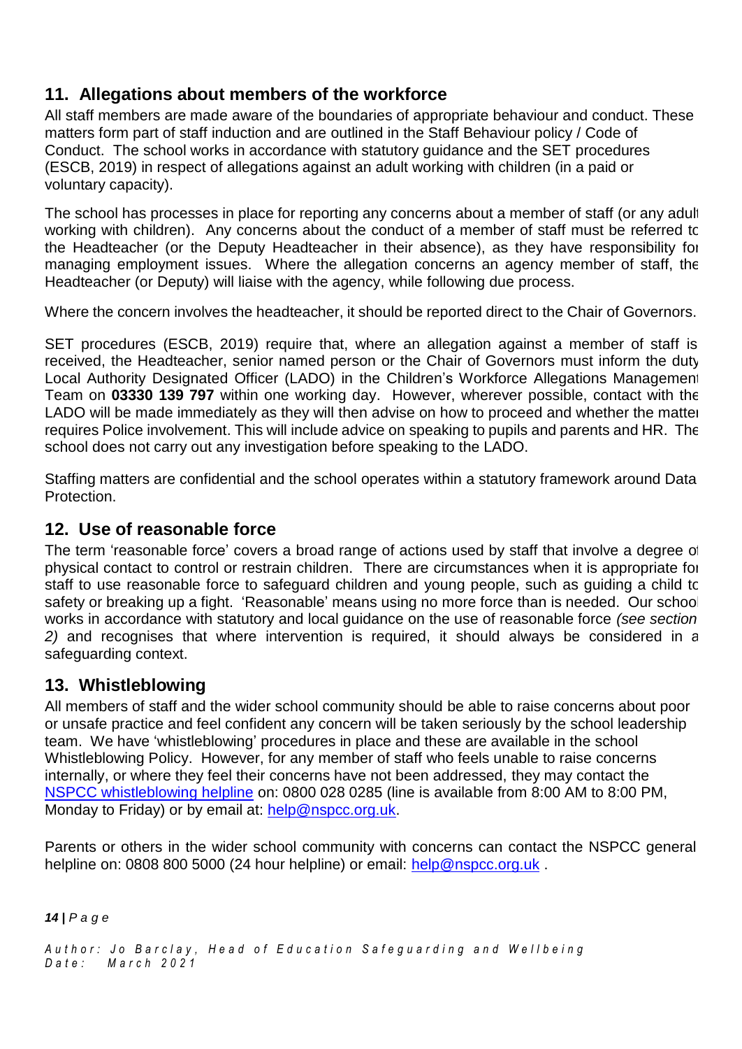# **11. Allegations about members of the workforce**

All staff members are made aware of the boundaries of appropriate behaviour and conduct. These matters form part of staff induction and are outlined in the Staff Behaviour policy / Code of Conduct. The school works in accordance with statutory guidance and the SET procedures (ESCB, 2019) in respect of allegations against an adult working with children (in a paid or voluntary capacity).

The school has processes in place for reporting any concerns about a member of staff (or any adult working with children). Any concerns about the conduct of a member of staff must be referred to the Headteacher (or the Deputy Headteacher in their absence), as they have responsibility for managing employment issues. Where the allegation concerns an agency member of staff, the Headteacher (or Deputy) will liaise with the agency, while following due process.

Where the concern involves the headteacher, it should be reported direct to the Chair of Governors.

SET procedures (ESCB, 2019) require that, where an allegation against a member of staff is received, the Headteacher, senior named person or the Chair of Governors must inform the duty Local Authority Designated Officer (LADO) in the Children's Workforce Allegations Management Team on **03330 139 797** within one working day. However, wherever possible, contact with the LADO will be made immediately as they will then advise on how to proceed and whether the matter requires Police involvement. This will include advice on speaking to pupils and parents and HR. The school does not carry out any investigation before speaking to the LADO.

Staffing matters are confidential and the school operates within a statutory framework around Data Protection.

# **12. Use of reasonable force**

The term 'reasonable force' covers a broad range of actions used by staff that involve a degree of physical contact to control or restrain children. There are circumstances when it is appropriate for staff to use reasonable force to safeguard children and young people, such as guiding a child to safety or breaking up a fight. 'Reasonable' means using no more force than is needed. Our school works in accordance with statutory and local guidance on the use of reasonable force *(see section 2)* and recognises that where intervention is required, it should always be considered in a safeguarding context.

# **13. Whistleblowing**

All members of staff and the wider school community should be able to raise concerns about poor or unsafe practice and feel confident any concern will be taken seriously by the school leadership team. We have 'whistleblowing' procedures in place and these are available in the school Whistleblowing Policy. However, for any member of staff who feels unable to raise concerns internally, or where they feel their concerns have not been addressed, they may contact the NSPCC [whistleblowing](https://www.nspcc.org.uk/what-you-can-do/report-abuse/dedicated-helplines/whistleblowing-advice-line/) helpline on: 0800 028 0285 (line is available from 8:00 AM to 8:00 PM, Monday to Friday) or by email at: [help@nspcc.org.uk.](mailto:help@nspcc.org.uk)

Parents or others in the wider school community with concerns can contact the NSPCC general helpline on: 0808 800 5000 (24 hour helpline) or email: [help@nspcc.org.uk](mailto:help@nspcc.org.uk).

*14 | P a g e*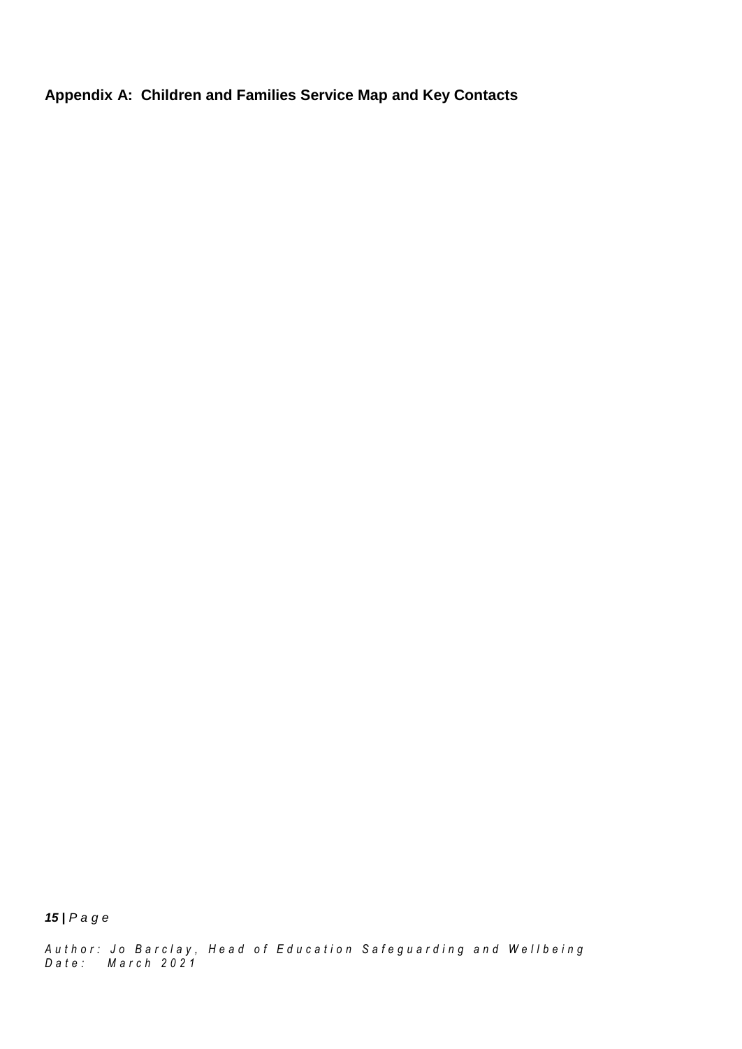**Appendix A: Children and Families Service Map and Key Contacts**

*15 | P a g e*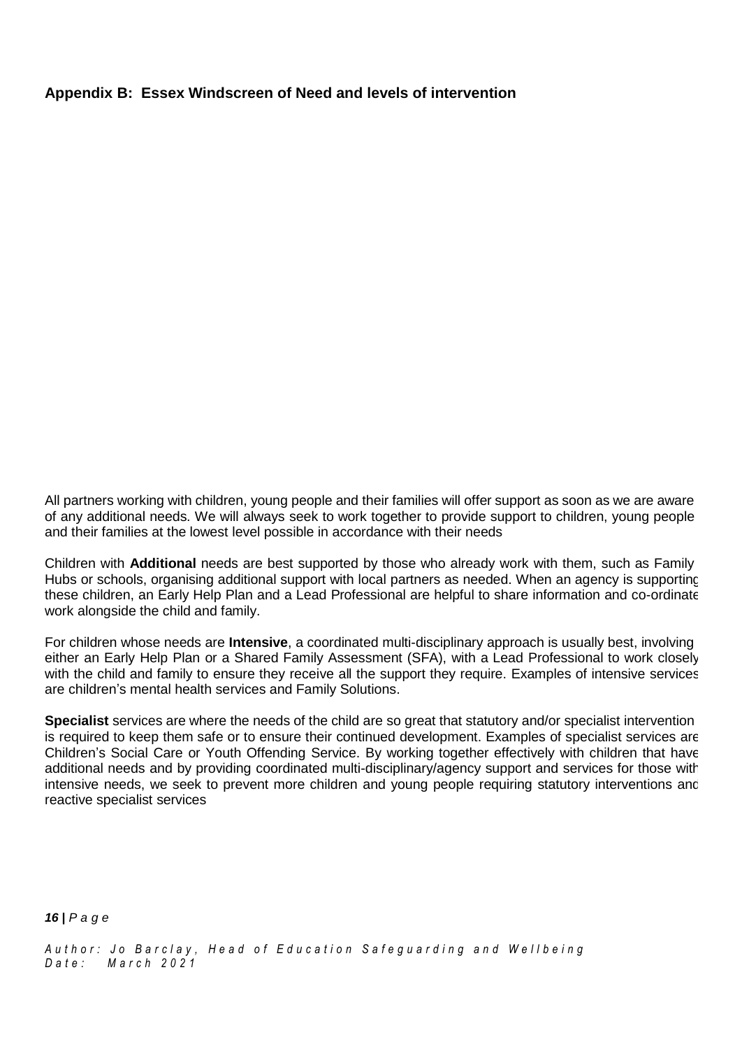### **Appendix B: Essex Windscreen of Need and levels of intervention**

All partners working with children, young people and their families will offer support as soon as we are aware of any additional needs. We will always seek to work together to provide support to children, young people and their families at the lowest level possible in accordance with their needs

Children with **Additional** needs are best supported by those who already work with them, such as Family Hubs or schools, organising additional support with local partners as needed. When an agency is supporting these children, an Early Help Plan and a Lead Professional are helpful to share information and co-ordinate work alongside the child and family.

For children whose needs are **Intensive**, a coordinated multi-disciplinary approach is usually best, involving either an Early Help Plan or a Shared Family Assessment (SFA), with a Lead Professional to work closely with the child and family to ensure they receive all the support they require. Examples of intensive services are children's mental health services and Family Solutions.

**Specialist** services are where the needs of the child are so great that statutory and/or specialist intervention is required to keep them safe or to ensure their continued development. Examples of specialist services are Children's Social Care or Youth Offending Service. By working together effectively with children that have additional needs and by providing coordinated multi-disciplinary/agency support and services for those with intensive needs, we seek to prevent more children and young people requiring statutory interventions and reactive specialist services

*16 | P a g e*